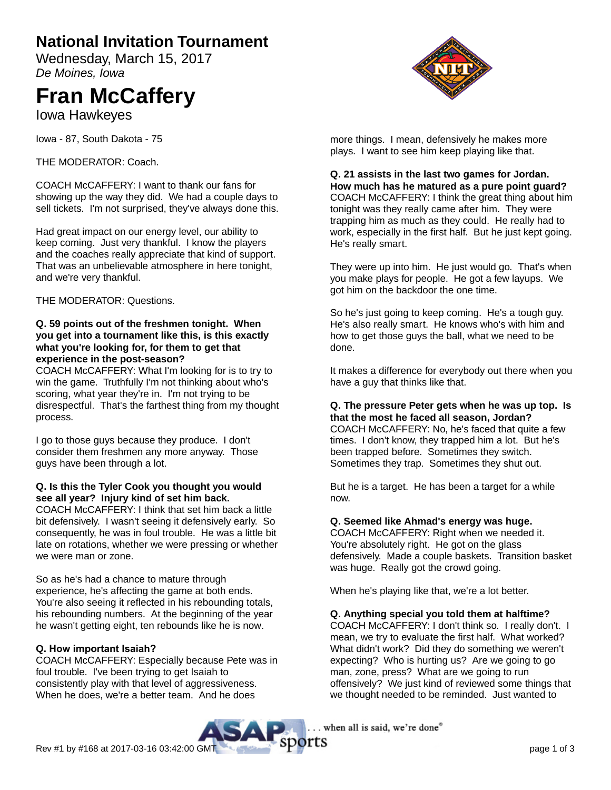# **National Invitation Tournament**

Wednesday, March 15, 2017 De Moines, Iowa

# **Fran McCaffery**

Iowa Hawkeyes

Iowa - 87, South Dakota - 75

THE MODERATOR: Coach.

COACH McCAFFERY: I want to thank our fans for showing up the way they did. We had a couple days to sell tickets. I'm not surprised, they've always done this.

Had great impact on our energy level, our ability to keep coming. Just very thankful. I know the players and the coaches really appreciate that kind of support. That was an unbelievable atmosphere in here tonight, and we're very thankful.

THE MODERATOR: Questions.

#### **Q. 59 points out of the freshmen tonight. When you get into a tournament like this, is this exactly what you're looking for, for them to get that experience in the post-season?**

COACH McCAFFERY: What I'm looking for is to try to win the game. Truthfully I'm not thinking about who's scoring, what year they're in. I'm not trying to be disrespectful. That's the farthest thing from my thought process.

I go to those guys because they produce. I don't consider them freshmen any more anyway. Those guys have been through a lot.

#### **Q. Is this the Tyler Cook you thought you would see all year? Injury kind of set him back.**

COACH McCAFFERY: I think that set him back a little bit defensively. I wasn't seeing it defensively early. So consequently, he was in foul trouble. He was a little bit late on rotations, whether we were pressing or whether we were man or zone.

So as he's had a chance to mature through experience, he's affecting the game at both ends. You're also seeing it reflected in his rebounding totals, his rebounding numbers. At the beginning of the year he wasn't getting eight, ten rebounds like he is now.

# **Q. How important Isaiah?**

COACH McCAFFERY: Especially because Pete was in foul trouble. I've been trying to get Isaiah to consistently play with that level of aggressiveness. When he does, we're a better team. And he does



more things. I mean, defensively he makes more plays. I want to see him keep playing like that.

**Q. 21 assists in the last two games for Jordan. How much has he matured as a pure point guard?** COACH McCAFFERY: I think the great thing about him tonight was they really came after him. They were trapping him as much as they could. He really had to work, especially in the first half. But he just kept going. He's really smart.

They were up into him. He just would go. That's when you make plays for people. He got a few layups. We got him on the backdoor the one time.

So he's just going to keep coming. He's a tough guy. He's also really smart. He knows who's with him and how to get those guys the ball, what we need to be done.

It makes a difference for everybody out there when you have a guy that thinks like that.

# **Q. The pressure Peter gets when he was up top. Is that the most he faced all season, Jordan?**

COACH McCAFFERY: No, he's faced that quite a few times. I don't know, they trapped him a lot. But he's been trapped before. Sometimes they switch. Sometimes they trap. Sometimes they shut out.

But he is a target. He has been a target for a while now.

# **Q. Seemed like Ahmad's energy was huge.**

COACH McCAFFERY: Right when we needed it. You're absolutely right. He got on the glass defensively. Made a couple baskets. Transition basket was huge. Really got the crowd going.

When he's playing like that, we're a lot better.

# **Q. Anything special you told them at halftime?**

COACH McCAFFERY: I don't think so. I really don't. I mean, we try to evaluate the first half. What worked? What didn't work? Did they do something we weren't expecting? Who is hurting us? Are we going to go man, zone, press? What are we going to run offensively? We just kind of reviewed some things that we thought needed to be reminded. Just wanted to

. when all is said, we're done"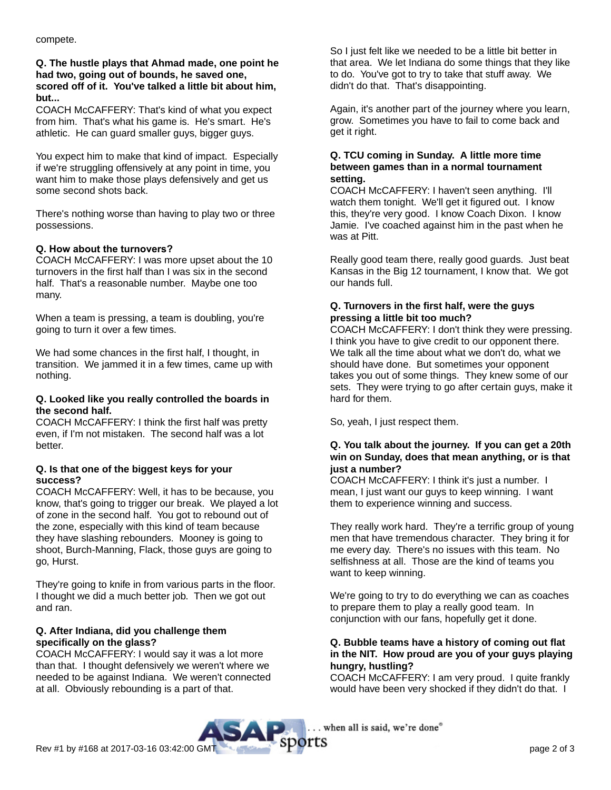compete.

#### **Q. The hustle plays that Ahmad made, one point he had two, going out of bounds, he saved one, scored off of it. You've talked a little bit about him, but...**

COACH McCAFFERY: That's kind of what you expect from him. That's what his game is. He's smart. He's athletic. He can guard smaller guys, bigger guys.

You expect him to make that kind of impact. Especially if we're struggling offensively at any point in time, you want him to make those plays defensively and get us some second shots back.

There's nothing worse than having to play two or three possessions.

# **Q. How about the turnovers?**

COACH McCAFFERY: I was more upset about the 10 turnovers in the first half than I was six in the second half. That's a reasonable number. Maybe one too many.

When a team is pressing, a team is doubling, you're going to turn it over a few times.

We had some chances in the first half, I thought, in transition. We jammed it in a few times, came up with nothing.

#### **Q. Looked like you really controlled the boards in the second half.**

COACH McCAFFERY: I think the first half was pretty even, if I'm not mistaken. The second half was a lot better.

#### **Q. Is that one of the biggest keys for your success?**

COACH McCAFFERY: Well, it has to be because, you know, that's going to trigger our break. We played a lot of zone in the second half. You got to rebound out of the zone, especially with this kind of team because they have slashing rebounders. Mooney is going to shoot, Burch-Manning, Flack, those guys are going to go, Hurst.

They're going to knife in from various parts in the floor. I thought we did a much better job. Then we got out and ran.

# **Q. After Indiana, did you challenge them specifically on the glass?**

COACH McCAFFERY: I would say it was a lot more than that. I thought defensively we weren't where we needed to be against Indiana. We weren't connected at all. Obviously rebounding is a part of that.

So I just felt like we needed to be a little bit better in that area. We let Indiana do some things that they like to do. You've got to try to take that stuff away. We didn't do that. That's disappointing.

Again, it's another part of the journey where you learn, grow. Sometimes you have to fail to come back and get it right.

#### **Q. TCU coming in Sunday. A little more time between games than in a normal tournament setting.**

COACH McCAFFERY: I haven't seen anything. I'll watch them tonight. We'll get it figured out. I know this, they're very good. I know Coach Dixon. I know Jamie. I've coached against him in the past when he was at Pitt.

Really good team there, really good guards. Just beat Kansas in the Big 12 tournament, I know that. We got our hands full.

# **Q. Turnovers in the first half, were the guys pressing a little bit too much?**

COACH McCAFFERY: I don't think they were pressing. I think you have to give credit to our opponent there. We talk all the time about what we don't do, what we should have done. But sometimes your opponent takes you out of some things. They knew some of our sets. They were trying to go after certain guys, make it hard for them.

So, yeah, I just respect them.

#### **Q. You talk about the journey. If you can get a 20th win on Sunday, does that mean anything, or is that just a number?**

COACH McCAFFERY: I think it's just a number. I mean, I just want our guys to keep winning. I want them to experience winning and success.

They really work hard. They're a terrific group of young men that have tremendous character. They bring it for me every day. There's no issues with this team. No selfishness at all. Those are the kind of teams you want to keep winning.

We're going to try to do everything we can as coaches to prepare them to play a really good team. In conjunction with our fans, hopefully get it done.

# **Q. Bubble teams have a history of coming out flat in the NIT. How proud are you of your guys playing hungry, hustling?**

COACH McCAFFERY: I am very proud. I quite frankly would have been very shocked if they didn't do that. I

. when all is said, we're done"